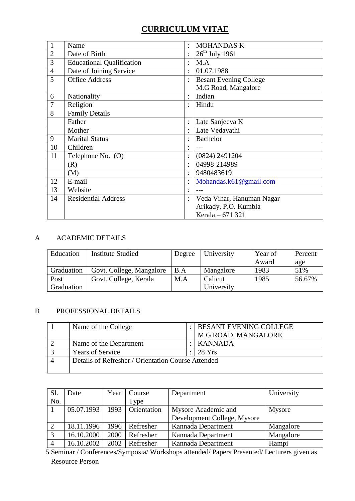# **CURRICULUM VITAE**

| $\mathbf{1}$   | Name                             | $\ddot{\cdot}$       | <b>MOHANDAS K</b>             |
|----------------|----------------------------------|----------------------|-------------------------------|
| $\overline{2}$ | Date of Birth                    | $\ddot{\cdot}$       | $26th$ July 1961              |
| $\mathfrak{Z}$ | <b>Educational Qualification</b> | $\ddot{\cdot}$       | M.A                           |
| $\overline{4}$ | Date of Joining Service          | $\ddot{\cdot}$       | 01.07.1988                    |
| 5              | <b>Office Address</b>            | $\ddot{\cdot}$       | <b>Besant Evening College</b> |
|                |                                  |                      | M.G Road, Mangalore           |
| 6              | Nationality                      | $\ddot{\phantom{a}}$ | Indian                        |
| $\overline{7}$ | Religion                         | $\ddot{\cdot}$       | Hindu                         |
| 8              | <b>Family Details</b>            |                      |                               |
|                | Father                           | $\ddot{\cdot}$       | Late Sanjeeva K               |
|                | Mother                           | $\bullet$            | Late Vedavathi                |
| 9              | <b>Marital Status</b>            | $\ddot{\cdot}$       | <b>Bachelor</b>               |
| 10             | Children                         | ٠                    |                               |
| 11             | Telephone No. (O)                | $\ddot{\cdot}$       | (0824) 2491204                |
|                | (R)                              | $\ddot{\cdot}$       | 04998-214989                  |
|                | (M)                              | $\ddot{\phantom{a}}$ | 9480483619                    |
| 12             | E-mail                           | $\ddot{\cdot}$       | Mohandas.k61@gmail.com        |
| 13             | Website                          | $\bullet$            |                               |
| 14             | <b>Residential Address</b>       | $\ddot{\cdot}$       | Veda Vihar, Hanuman Nagar     |
|                |                                  |                      | Arikady, P.O. Kumbla          |
|                |                                  |                      | Kerala - 671 321              |

## A ACADEMIC DETAILS

| Education  | <b>Institute Studied</b> | Degree | University | Year of | Percent |
|------------|--------------------------|--------|------------|---------|---------|
|            |                          |        |            | Award   | age     |
| Graduation | Govt. College, Mangalore | B.A    | Mangalore  | 1983    | 51%     |
| Post       | Govt. College, Kerala    | M.A    | Calicut    | 1985    | 56.67%  |
| Graduation |                          |        | University |         |         |

## B PROFESSIONAL DETAILS

| Name of the College                                |  | <b>BESANT EVENING COLLEGE</b> |  |
|----------------------------------------------------|--|-------------------------------|--|
|                                                    |  | M.G ROAD, MANGALORE           |  |
| Name of the Department                             |  | KANNADA                       |  |
| <b>Years of Service</b>                            |  | 28 Yrs                        |  |
| Details of Refresher / Orientation Course Attended |  |                               |  |
|                                                    |  |                               |  |

| Sl. | Date       | Year | Course      | Department                  | University    |
|-----|------------|------|-------------|-----------------------------|---------------|
| No. |            |      | Type        |                             |               |
|     | 05.07.1993 | 1993 | Orientation | Mysore Academic and         | <b>Mysore</b> |
|     |            |      |             | Development College, Mysore |               |
|     | 18.11.1996 | 1996 | Refresher   | Kannada Department          | Mangalore     |
|     | 16.10.2000 | 2000 | Refresher   | Kannada Department          | Mangalore     |
|     | 16.10.2002 | 2002 | Refresher   | Kannada Department          | Hampi         |

 5 Seminar / Conferences/Symposia/ Workshops attended/ Papers Presented/ Lecturers given as Resource Person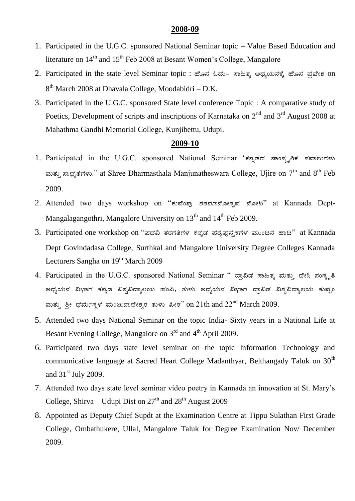- 1. Participated in the U.G.C. sponsored National Seminar topic Value Based Education and literature on 14<sup>th</sup> and 15<sup>th</sup> Feb 2008 at Besant Women's College, Mangalore
- 2. Participated in the state level Seminar topic : ಹೊಸ ಓದು- ಸಾಹಿತ್ಯ ಅಧ್ಯಯನಕ್ಕೆ ಹೊಸ ಪ್ರವೇಶ on 8<sup>th</sup> March 2008 at Dhavala College, Moodabidri - D.K.
- 3. Participated in the U.G.C. sponsored State level conference Topic : A comparative study of Poetics, Development of scripts and inscriptions of Karnataka on 2<sup>nd</sup> and 3<sup>rd</sup> August 2008 at Mahathma Gandhi Memorial College, Kunjibettu, Udupi.

- 1. Participated in the U.G.C. sponsored National Seminar 'ಕನ್ನಡದ ಸಾಂಸ್ಕೃತಿಕ ಸವಾಲುಗಳು ಮತ್ತು ಸಾಧ್ಯತೆಗಳು." at Shree Dharmasthala Manjunatheswara College, Ujire on 7<sup>th</sup> and 8<sup>th</sup> Feb 2009.
- 2. Attended two days workshop on "ಕುವೆಂಪು ಶತಮಾನೋತ್ಸವ ನೋಟ" at Kannada Dept-Mangalagangothri, Mangalore University on  $13<sup>th</sup>$  and  $14<sup>th</sup>$  Feb 2009.
- 3. Participated one workshop on "ಪದವಿ ತರಗತಿಗಳ ಕನ್ನಡ ಪಠ್ಯಪುಸ್ತಕಗಳ ಮುಂದಿನ ಹಾದಿ" at Kannada Dept Govindadasa College, Surthkal and Mangalore University Degree Colleges Kannada Lecturers Sangha on 19<sup>th</sup> March 2009
- 4. Participated in the U.G.C. sponsored National Seminar " ದ್ರಾವಿಡ ಸಾಹಿತ್ಯ ಮತ್ತು ದೇಸಿ ಸಂಸ್ಕೃತಿ ಅಧ್ಯಯನ ವಿಭಾಗ ಕನ್ನಡ ವಿಶ್ವವಿದ್ಯಾಲಯ ಹಂಪಿ, ತುಳು ಅಧ್ಯಯನ ವಿಭಾಗ ದ್ರಾವಿಡ ವಿಶ್ವವಿದ್ಯಾಲಯ ಕುಪ್ಪಂ ಮತ್ತು ಶ್ರೀ ಧರ್ಮಸ್ಥಳ ಮಂಜುನಾಥೇಶ್ವರ ತುಳು ಪೀಠ'' on  $21$ th and  $22^{\rm nd}$  March 2009.
- 5. Attended two days National Seminar on the topic India- Sixty years in a National Life at Besant Evening College, Mangalore on 3<sup>rd</sup> and 4<sup>th</sup> April 2009.
- 6. Participated two days state level seminar on the topic Information Technology and communicative language at Sacred Heart College Madanthyar, Belthangady Taluk on 30<sup>th</sup> and  $31<sup>st</sup>$  July 2009.
- 7. Attended two days state level seminar video poetry in Kannada an innovation at St. Mary"s College, Shirva – Udupi Dist on  $27<sup>th</sup>$  and  $28<sup>th</sup>$  August 2009
- 8. Appointed as Deputy Chief Supdt at the Examination Centre at Tippu Sulathan First Grade College, Ombathukere, Ullal, Mangalore Taluk for Degree Examination Nov/ December 2009.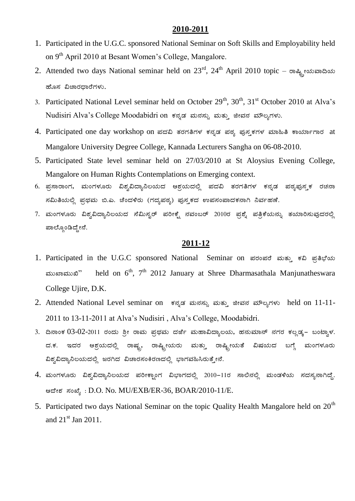- 1. Participated in the U.G.C. sponsored National Seminar on Soft Skills and Employability held on 9<sup>th</sup> April 2010 at Besant Women's College, Mangalore.
- 2. Attended two days National seminar held on  $23^{\text{rd}}$ ,  $24^{\text{th}}$  April 2010 topic  $\cos \theta$ <sub>is</sub> estes and ಹೊಸ ವಿಚಾರದಾರೆಗಳು.
- 3. Participated National Level seminar held on October  $29<sup>th</sup>$ ,  $30<sup>th</sup>$ ,  $31<sup>st</sup>$  October 2010 at Alva's Nudisiri Alva's College Moodabidri on ಕನ್ನಡ ಮನಸ್ಸು ಮತ್ತು ಜೀವನ ಮೌಲ್ಯಗಳು.
- 4. Participated one day workshop on ಪದವಿ ತರಗತಿಗಳ ಕನ್ನಡ ಪಠ್ಯ ಪುಸ್ತಕಗಳ ಮಾಹಿತಿ ಕಾರ್ಯಾಗಾರ at Mangalore University Degree College, Kannada Lecturers Sangha on 06-08-2010.
- 5. Participated State level seminar held on 27/03/2010 at St Aloysius Evening College, Mangalore on Human Rights Contemplations on Emerging context.
- 6. ಪ್ರಸಾರಾಂಗ, ಮಂಗಳೂರು ವಿಶ್ವವಿದ್ಯಾನಿಲಯದ ಆಶ್ರಯದಲ್ಲಿ ಪದವಿ ತರಗತಿಗಳ ಕನ್ನಡ ಪಠ್ಯಪುಸ್ಮಕ ರಚನಾ ಸಮಿತಿಯಲ್ಲಿ ಪ್ರಥಮ ಬಿ.ಎ. ಚೆಂದಳಿರು (ಗದ್ಯಪಠ್ಯ) ಪುಸ್ತಕದ ಉಪಸಂಪಾದಕನಾಗಿ ನಿರ್ವಹಣೆ.
- 7. ಮಂಗಳೂರು ವಿಶ್ವವಿದ್ಯಾನಿಲಯದ ಸೆಮಿಸ್ಟರ್ ಪರೀಕ್ಷೆ ನವಂಬರ್ 2010ರ ಪ್ರಶ್ನೆ ಪತ್ರಿಕೆಯನ್ನು ತಯಾರಿಸುವುದರಲ್ಲಿ ಪಾಲ್ಗೊಂಡಿದ್ದೇನೆ.

- 1. Participated in the U.G.C sponsored National Seminar on ಪರಂಪರೆ ಮತ್ತು ಕವಿ ಪ್ರತಿಭೆಯ  $\omega$ Ashaba $\omega$ <sup>a</sup> held on  $6<sup>th</sup>$ , 7<sup>th</sup> 2012 January at Shree Dharmasathala Manjunatheswara College Ujire, D.K.
- 2. Attended National Level seminar on ಕನ್ನಡ ಮನಸ್ಸು ಮತ್ತು ಜೀವನ ಮೌಲ್ಯಗಳು held on 11-11-2011 to 13-11-2011 at Alva"s Nudisiri , Alva"s College, Moodabidri.
- 3. ದಿನಾಂಕ 03-02-2011 ರಂದು ಶ್ರೀ ರಾಮ ಪ್ರಥಮ ದರ್ಜೆ ಮಹಾವಿದ್ಯಾಲಯ, ಹನುಮಾನ್ ನಗರ ಕಲ್ಲಡ್ಕ– ಬಂಟ್ವಾಳ. ದ.ಕ. ಇದರ ಆಶ್ರಯದಲ್ಲಿ ರಾಷ್ಟ್ರ, ರಾಷ್ಟ್ರೀಯರು ಮತ್ತು ರಾಷ್ಟ್ರೀಯತೆ ವಿಷಯದ ಬಗ್ಗೆ ಮಂಗಳೂರು ವಿಶ್ವವಿದ್ಯಾನಿಲಯದಲ್ಲಿ ಜರಗಿದ ವಿಚಾರಸಂಕಿರಣದಲ್ಲಿ ಭಾಗವಹಿಸಿರುತ್ತೇನೆ.
- 4. ಮಂಗಳೂರು ವಿಶ್ವವಿದ್ಯಾನಿಲಯದ ಪರೀಕ್ಷಾಂಗ ವಿಭಾಗದಲ್ಲಿ 2010–11ರ ಸಾಲಿನಲ್ಲಿ ಮಂಡಳಿಯ ಸದಸ್ಯನಾಗಿದ್ದೆ. ಆದೇಶ ಸಂಖ್ಯೆ: D.O. No. MU/EXB/ER-36, BOAR/2010-11/E.
- 5. Participated two days National Seminar on the topic Quality Health Mangalore held on  $20<sup>th</sup>$ and  $21<sup>st</sup>$  Jan 2011.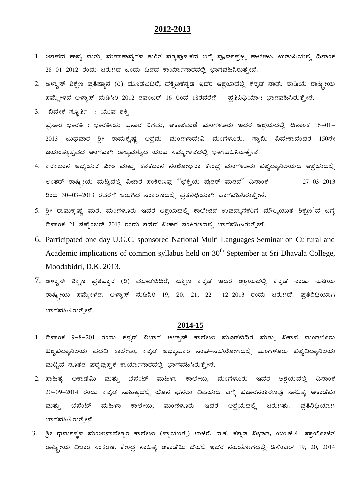- 1. ಜನಪದ ಕಾವ್ಯ ಮತ್ತು ಮಹಾಕಾವ್ಯಗಳ ಕುರಿತ ಪಠ್ಯಪುಸ್ತಕದ ಬಗ್ಗೆ ಪೂರ್ಣಪ್ರಜ್ಞ ಕಾಲೇಜು, ಉಡುಪಿಯಲ್ಲಿ ದಿನಾಂಕ  $28-01-2012$  ರಂದು ಜರುಗಿದ ಒಂದು ದಿನದ ಕಾರ್ಯಾಗಾರದಲ್ಲಿ ಭಾಗವಹಿಸಿರುತ್ತೇನೆ.
- 2. ಆಳ್ವಾಸ್ ಶಿಕ್ಷಣ ಪ್ರತಿಷ್ಠಾನ (ರಿ) ಮೂಡಬಿದಿರೆ, ದಕ್ಷಿಣಕನ್ನಡ ಇದರ ಆಶ್ರಯದಲ್ಲಿ ಕನ್ನಡ ನಾಡು ನುಡಿಯ ರಾಷ್ಟ್ರೀಯ ಸಮ್ಮೇಳನ ಆಳ್ವಾಸ್ ನುಡಿಸಿರಿ 2012 ನವಂಬರ್ 16 ರಿಂದ 18ರವರೆಗೆ - ಪ್ರತಿನಿಧಿಯಾಗಿ ಭಾಗವಹಿಸಿರುತ್ತೇನೆ.
- 3. ವಿವೇಕ ಸ್ಫೂರ್ತಿ : ಯುವ ಶಕ್ತಿ  $\Xi$ ಸಾರ ಭಾರತಿ : ಭಾರತೀಯ ಪ್ರಸಾರ ನಿಗಮ, ಆಕಾಶವಾಣಿ ಮಂಗಳೂರು ಇದರ ಆಶ್ರಯದಲ್ಲಿ ದಿನಾಂಕ 16-01-2013 ಬುಧವಾರ ಶ್ರೀ ರಾಮಕೃಷ್ಣ ಆಶ್ರಮ ಮಂಗಳಾದೇವಿ ಮಂಗಳೂರು, ಸ್ವಾಮಿ ವಿವೇಕಾನಂದರ 150ನೇ ಜಯಂತ್ಯುತ್ಸವದ ಅಂಗವಾಗಿ ರಾಜ್ಯಮಟ್ಟದ ಯುವ ಸಮ್ಮೇಳನದಲ್ಲಿ ಭಾಗವಹಿಸಿರುತ್ತೇನೆ.
- 4. ಕನಕದಾಸ ಅಧ್ಯಯನ ಪೀಠ ಮತ್ತು ಕನಕದಾಸ ಸಂಶೋಧನಾ ಕೇಂದ್ರ ಮಂಗಳೂರು ವಿಶ್ವದ್ಯಾನಿಲಯದ ಆಶ್ರಯದಲ್ಲಿ ಅಂತರ್ ರಾಷ್ಟ್ರೀಯ ಮಟ್ಟದಲ್ಲಿ ವಿಚಾರ ಸಂಕಿರಣವು "ಭಕ್ತಿಯ ಪುನರ್ ಮನನ" ದಿನಾಂಕ $27-03-2013$ ರಿಂದ 30-03-2013 ರವರೆಗೆ ಜರುಗಿದ ಸಂಕಿರಣದಲ್ಲಿ ಪ್ರತಿನಿಧಿಯಾಗಿ ಭಾಗವಹಿಸಿರುತ್ತೇನೆ.
- 5. ಶ್ರೀ ರಾಮಕೃಷ್ಣ ಮಠ, ಮಂಗಳೂರು ಇದರ ಅಶ್ರಯದಲ್ಲಿ ಕಾಲೇಜಿನ ಉಪನ್ಯಾಸಕರಿಗೆ ಮೌಲ್ಯಯುತ ಶಿಕ್ಷಣ'ದ ಬಗ್ಗೆ ದಿನಾಂಕ 21 ಸೆಪ್ಟೆಂಬರ್ 2013 ರಂದು ನಡೆದ ವಿಚಾರ ಸಂಕಿರಣದಲ್ಲಿ ಭಾಗವಹಿಸಿರುತ್ತೇನೆ.
- 6. Participated one day U.G.C. sponsored National Multi Languages Seminar on Cultural and Academic implications of common syllabus held on  $30<sup>th</sup>$  September at Sri Dhavala College, Moodabidri, D.K. 2013.
- 7. ಆಳ್ವಾಸ್ ಶಿಕ್ಷಣ ಪ್ರತಿಷ್ಠಾನ (ರಿ) ಮೂಡಬಿದಿರೆ, ದಕ್ಷಿಣ ಕನ್ನಡ ಇದರ ಆಶ್ರಯದಲ್ಲಿ ಕನ್ನಡ ನಾಡು ನುಡಿಯ ರಾಷ್ಟ್ರೀಯ ಸಮ್ಮೇಳನ, ಆಳ್ವಾಸ್ ನುಡಿಸಿರಿ 19, 20, 21, 22 -12-2013 ರಂದು ಜರುಗಿದೆ. ಪ್ರತಿನಿಧಿಯಾಗಿ ಭಾಗವಹಿಸಿರುತ್ತೇನೆ.

- 1. ದಿನಾಂಕ 9-8-201 ರಂದು ಕನ್ನಡ ವಿಭಾಗ ಆಳ್ವಾಸ್ ಕಾಲೇಜು ಮೂಡಬಿದಿರೆ ಮತ್ತು ವಿಕಾಸ ಮಂಗಳೂರು ವಿಶ್ವವಿದ್ಯಾನಿಲಯ ಪದವಿ ಕಾಲೇಜು, ಕನ್ನಡ ಅಧ್ಯಾಪಕರ ಸಂಘ–ಸಹಯೋಗದಲ್ಲಿ ಮಂಗಳೂರು ವಿಶ್ವವಿದ್ಯಾನಿಲಯ ಮಟ್ಟದ ನೂತನ ಪಠ್ಯಪುಸ್ತಕ ಕಾರ್ಯಾಗಾರದಲ್ಲಿ ಭಾಗವಹಿಸಿರುತ್ತೇನೆ.
- 2. ಸಾಹಿತ್ಯ ಅಕಾಡೆಮಿ ಮತ್ತು ಬೆಸೆಂಟ್ ಮಹಿಳಾ ಕಾಲೇಜು, ಮಂಗಳೂರು ಇದರ ಆಶ್ರಯದಲ್ಲಿ ದಿನಾಂಕ 20-09-2014 ರಂದು ಕನ್ನಡ ಸಾಹಿತ್ಯದಲ್ಲಿ ಹೊಸ ಫಸಲು ವಿಷಯದ ಬಗ್ಗೆ ವಿಚಾರಸಂಕಿರಣವು ಸಾಹಿತ್ಯ ಅಕಾಡೆಮಿ ಮತ್ತು ಬೆಸೆಂಟ್ ಮಹಿಳಾ ಕಾಲೇಜು, ಮಂಗಳೂರು ಇದರ ಆಶ್ರಯದಲ್ಲಿ ಜರುಗಿತು. ಪ್ರತಿನಿಧಿಯಾಗಿ ಭಾಗವಹಿಸಿರುತ್ತೇನೆ.
- 3. ಶ್ರೀ ಧರ್ಮಸ್ಥಳ ಮಂಜುನಾಥೇಶ್ವರ ಕಾಲೇಜು (ಸ್ವಾಯುತ್ತೆ) ಉಜಿರೆ, ದ.ಕ. ಕನ್ನಡ ವಿಭಾಗ, ಯು.ಜಿ.ಸಿ. ಪ್ರಾಯೋಜಿತ ರಾಷ್ಟ್ರೀಯ ವಿಚಾರ ಸಂಕಿರಣ. ಕೇಂದ್ರ ಸಾಹಿತ್ಯ ಅಕಾಡೆಮಿ ದೆಹಲಿ ಇದರ ಸಹಯೋಗದಲ್ಲಿ ಡಿಸೆಂಬರ್ 19, 20, 2014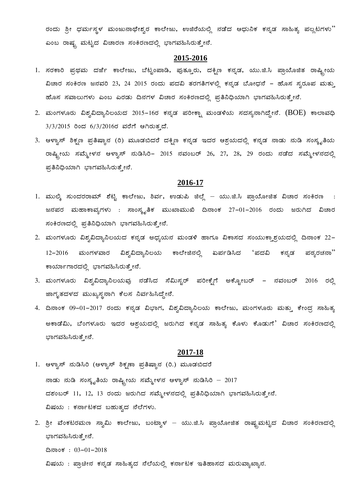ರಂದು ಶ್ರೀ ಧರ್ಮಸ್ಥಳ ಮಂಜುನಾಥೇಶ್ವರ ಕಾಲೇಜು, ಉಜಿರೆಯಲ್ಲಿ ನಡೆದ ಆಧುನಿಕ ಕನ್ನಡ ಸಾಹಿತ್ಯ ಪಲ್ಲಟಗಳು" ಎಂಬ ರಾಷ್ಟ್ರ ಮಟ್ಟದ ವಿಚಾರಣ ಸಂಕಿರಣದಲ್ಲಿ ಭಾಗವಹಿಸಿರುತ್ತೇನೆ.

#### **2015-2016**

- 1. ಸರಕಾರಿ ಪ್ರಥಮ ದರ್ಜೆ ಕಾಲೇಜು, ಬೆಟ್ಟಂಪಾಡಿ, ಪುತ್ತೂರು, ದಕ್ಷಿಣ ಕನ್ನಡ, ಯು.ಜಿ.ಸಿ ಪ್ರಾಯೊಜಿತ ರಾಷ್ಟ್ರೀಯ ವಿಚಾರ ಸಂಕಿರಣ ಜನವರಿ 23, 24 2015 ರಂದು ಪದವಿ ತರಗತಿಗಳಲ್ಲಿ ಕನ್ನಡ ಬೋಧನೆ – ಹೊಸ ಸ್ವರೂಪ ಮತ್ತು ಹೊಸ ಸವಾಲುಗಳು ಎಂಬ ಎರಡು ದಿನಗಳ ವಿಚಾರ ಸಂಕಿರಣದಲ್ಲಿ ಪ್ರತಿನಿಧಿಯಾಗಿ ಭಾಗವಹಿಸಿರುತ್ತೇನೆ.
- 2. ಮಂಗಳೂರು ವಿಶ್ವವಿದ್ಯಾನಿಲಯದ 2015-16ರ ಕನ್ನಡ ಪರೀಕ್ಷಾ ಮಂಡಳಿಯ ಸದಸ್ಯನಾಗಿದ್ದೇನೆ. (BOE) ಕಾಲಾವಧಿ  $3/3/2015$  ರಿಂದ  $6/3/2016$ ರ ವರೆಗೆ ಆಗಿರುತ್ತದೆ.
- 3. ಆಳ್ವಾಸ್ ಶಿಕ್ಷಣ ಪ್ರತಿಷ್ಠಾನ (ರಿ) ಮೂಡಬಿದರೆ ದಕ್ಷಿಣ ಕನ್ನಡ ಇದರ ಆಶ್ರಯದಲ್ಲಿ ಕನ್ನಡ ನಾಡು ನುಡಿ ಸಂಸ್ಕೃತಿಯ ರಾಷ್ಟ್ರೀಯ ಸಮ್ಮೇಳನ ಆಳ್ವಾಸ್ ನುಡಿಸಿರಿ− 2015 ನವಂಬರ್ 26, 27, 28, 29 ರಂದು ನಡೆದ ಸಮ್ಮೇಳನದಲ್ಲಿ ಪ್ರತಿನಿಧಿಯಾಗಿ ಭಾಗವಹಿಸಿರುತ್ತೇನೆ.

#### **2016-17**

- 1. ಮುಲ್ಕಿ ಸುಂದರರಾಮ್ ಶೆಟ್ಟಿ ಕಾಲೇಜು, ಶಿರ್ವ, ಉಡುಪಿ ಜಿಲ್ಲೆ ಯು.ಜಿ.ಸಿ ಪ್ರಾಯೋಜಿತ ವಿಚಾರ ಸಂಕಿರಣ ಜನಪರ ಮಹಾಕಾವ್ಯಗಳು : ಸಾಂಸ್ಕೃತಿಕ ಮುಖಾಮುಖಿ ದಿನಾಂಕ 27−01−2016 ರಂದು ಜರುಗಿದ ವಿಚಾರ ಸಂಕಿರಣದಲ್ಲಿ ಪ್ರತಿನಿಧಿಯಾಗಿ ಭಾಗವಹಿಸಿರುತ್ತೇನೆ.
- 2. ಮಂಗಳೂರು ವಿಶ್ವವಿದ್ಯಾನಿಲಯದ ಕನ್ನಡ ಅಧ್ಯಯನ ಮಂಡಳಿ ಹಾಗೂ ವಿಕಾಸದ ಸಂಯುಕ್ತಾಶ್ರಯದಲ್ಲಿ ದಿನಾಂಕ 22-12-2016 ಮಂಗಳವಾರ ವಿಶ್ವವಿದ್ಯಾನಿಲಯ ಕಾಲೇಜಿನಲ್ಲಿ ಏರ್ಪಡಿಸಿದ 'ಪದವಿ ಕನ್ನಡ ಪಠ್ಯರಚನಾ'' ಕಾರ್ಯಾಗಾರದಲ್ಲಿ ಭಾಗವಹಿಸಿರುತ್ತೇನೆ.
- 3. ಮಂಗಳೂರು ವಿಶ್ವವಿದ್ಯಾನಿಲಯವು ನಡೆಸಿದ ಸೆಮಿಸ್ಟರ್ ಪರೀಕ್ಷೆಗೆ ಅಕ್ಟೋಬರ್ ನವಂಬರ್ 2016 ರಲ್ಲಿ ಜಾಗೃತದಳದ ಮುಖ್ಯಸ್ಥನಾಗಿ ಕೆಲಸ ನಿರ್ವಹಿಸಿದ್ದೇನೆ.
- 4. ದಿನಾಂಕ 09-01-2017 ರಂದು ಕನ್ನಡ ವಿಭಾಗ, ವಿಶ್ವವಿದ್ಯಾನಿಲಯ ಕಾಲೇಜು, ಮಂಗಳೂರು ಮತ್ತು ಕೇಂದ್ರ ಸಾಹಿತ್ಯ ಅಕಾಡೆಮಿ, ಬೆಂಗಳೂರು ಇದರ ಆಶ್ರಯದಲ್ಲಿ ಜರುಗಿದ ಕನ್ನಡ ಸಾಹಿತ್ಯ ಕೊಳು ಕೊಡುಗೆ<sup>'</sup> ವಿಚಾರ ಸಂಕಿರಣದಲ್ಲಿ ಭಾಗವಹಿಸಿರುತ್ತೇನೆ.

- 1. ಆಳ್ವಾಸ್ ನುಡಿಸಿರಿ (ಆಳ್ವಾಸ್ ಶಿಕ್ಷಣಾ ಪ್ರತಿಷ್ಠಾನ (ರಿ.) ಮೂಡಬಿದರೆ ನಾಡು ನುಡಿ ಸಂಸ್ಕೃತಿಯ ರಾಷ್ಟ್ರೀಯ ಸಮ್ಮೇಳನ ಆಳ್ವಾಸ್ ನುಡಿಸಿರಿ – 2017 ದಶಂಬರ್ 11, 12, 13 ರಂದು ಜರುಗಿದ ಸಮ್ಮೇಳನದಲ್ಲಿ ಪ್ರತಿನಿಧಿಯಾಗಿ ಭಾಗವಹಿಸಿರುತ್ತೇನೆ. ವಿಷಯ: ಕರ್ನಾಟಕದ ಬಹುತ್ಕದ ನೆಲೆಗಳು.
- 2. ಶ್ರೀ ವೆಂಕಟರಮಣ ಸ್ವಾಮಿ ಕಾಲೇಜು, ಬಂಟ್ವಾಳ ಯು.ಜಿ.ಸಿ ಪ್ರಾಯೋಜಿತ ರಾಷ್ಟ್ರಮಟ್ಟದ ವಿಚಾರ ಸಂಕಿರಣದಲ್ಲಿ ಭಾಗವಹಿಸಿರುತ್ತೇನೆ. ದಿನಾಂಕ: 03-01-2018 ವಿಷಯ : ಪ್ರಾಚೀನ ಕನ್ನಡ ಸಾಹಿತ್ಯದ ನೆಲೆಯಲ್ಲಿ ಕರ್ನಾಟಕ ಇತಿಹಾಸದ ಮರುವ್ಯಾಖ್ಯಾನ.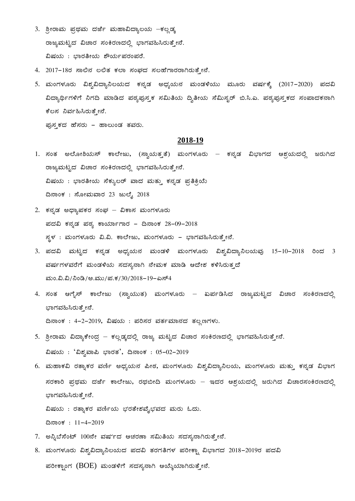- 3. ಶ್ರೀರಾಮ ಪ್ರಥಮ ದರ್ಜೆ ಮಹಾವಿದ್ಯಾಲಯ –ಕಲ್ಲಡ್ಕ ರಾಜ್ಯಮಟ್ಟದ ವಿಚಾರ ಸಂಕಿರಣದಲ್ಲಿ ಭಾಗವಹಿಸಿರುತ್ತೇನೆ. ವಿಷಯ: ಭಾರತೀಯ ಶೌರ್ಯಪರಂಪರೆ.
- 4. 2017-18ರ ಸಾಲಿನ ಲಲಿತ ಕಲಾ ಸಂಘದ ಸಲಹೆಗಾರರಾಗಿರುತ್ತೇನೆ.
- 5. ಮಂಗಳೂರು ವಿಶ್ವವಿದ್ಯಾನಿಲಯದ ಕನ್ನಡ ಅಧ್ಯಯನ ಮಂಡಳಿಯು ಮೂರು ವರ್ಷಕ್ಕೆ (2017-2020) ಪದವಿ ವಿದ್ಯಾರ್ಥಿಗಳಿಗೆ ನಿಗದಿ ಮಾಡಿದ ಪಠ್ಯಪುಸ್ತಕ ಸಮಿತಿಯ ದ್ವಿತೀಯ ಸೆಮಿಸ್ಟರ್ ಬಿ.ಸಿ.ಎ. ಪಠ್ಯಪುಸ್ತಕದ ಸಂಪಾದಕನಾಗಿ ಕೆಲಸ ನಿರ್ವಹಿಸಿರುತ್ತೇನೆ.

ಘುಸ್ಮಕದ ಹೆಸರು - ಹಾಲುಂಡ ತವರು.

#### **2018-19**

- 1. ಸಂತ ಅಲೋಶಿಯಸ್ ಕಾಲೇಜು, (ಸ್ನಾಯತ್ತತೆ) ಮಂಗಳೂರು ಕನ್ನಡ ವಿಭಾಗದ ಆಶ್ರಯದಲ್ಲಿ ಜರುಗಿದ ರಾಜ್ಯಮಟ್ಟದ ವಿಚಾರ ಸಂಕಿರಣದಲ್ಲಿ ಭಾಗವಹಿಸಿರುತ್ತೇನೆ. ವಿಷಯ : ಭಾರತೀಯ ಸೆಕ್ಯುಲರ್ ವಾದ ಮತ್ತು ಕನ್ನಡ ಪ್ರತಿಕ್ರಿಯೆ ದಿನಾಂಕ: ಸೋಮವಾರ 23 ಜುಲೈ 2018
- 2. ಕನ್ನಡ ಅಧ್ಯಾಪಕರ ಸಂಘ ವಿಕಾಸ ಮಂಗಳೂರು ಪದವಿ ಕನ್ನಡ ಪಠ್ಯ ಕಾರ್ಯಾಗಾರ - ದಿನಾಂಕ 28-09-2018 ಸ್ಥಳ : ಮಂಗಳೂರು ವಿ.ವಿ. ಕಾಲೇಜು, ಮಂಗಳೂರು - ಭಾಗವಹಿಸಿರುತ್ತೇನೆ.
- 3. ಪದವಿ ಮಟ್ಟದ ಕನ್ನಡ ಅಧ್ಯಯನ ಮಂಡಳಿ ಮಂಗಳೂರು ವಿಶ್ವವಿದ್ಯಾನಿಲಯವು 15-10-2018 ರಿಂದ 3 ಹರ್ಷಗಳವರೆಗೆ ಮಂಡಳಿಯ ಸದಸ್ಯನಾಗಿ ನೇಮಕ ಮಾಡಿ ಆದೇಶ ಕಳಿಸಿರುತ್ತದೆ ಮಂ.ವಿ.ವಿ/ನಿಂಡಿ/ಅ.ಮು/ಪ.ಕ/30/2018-19-ಎಸ್4
- 4. ಸಂತ ಆಗೈಸ್ ಕಾಲೇಜು (ಸ್ವಾಯುತ) ಮಂಗಳೂರು ಏರ್ಪಡಿಸಿದ ರಾಜ್ಯಮಟ್ಟದ ವಿಚಾರ ಸಂಕಿರಣದಲ್ಲಿ ಭಾಗವಹಿಸಿರುತ್ತೇನೆ. ದಿನಾಂಕ: 4-2-2019, ವಿಷಯ: ಪರಿಸರ ವರ್ತಮಾನದ ತಲ್ಲಣಗಳು.
- 5. ಶ್ರೀರಾಮ ವಿದ್ಯಾಕೇಂದ್ರ ಕಲ್ಲಡ್ಕದಲ್ಲಿ ರಾಜ್ಯ ಮಟ್ಟದ ವಿಚಾರ ಸಂಕಿರಣದಲ್ಲಿ ಭಾಗವಹಿಸಿರುತ್ತೇನೆ.  $\delta$ ಷಯ :  $\delta$ . ಬಿಶ್ಕವಾಪಿ ಭಾರತ $\delta'$ , ದಿನಾಂಕ : 05-02-2019
- 6. ಮಹಾಕವಿ ರತ್ನಾಕರ ವರ್ಣಿ ಅಧ್ಯಯನ ಪೀಠ, ಮಂಗಳೂರು ವಿಶ್ವವಿದ್ಯಾನಿಲಯ, ಮಂಗಳೂರು ಮತ್ತು ಕನ್ನಡ ವಿಭಾಗ ನರಕಾರಿ ಪ್ರಥಮ ದರ್ಜೆ ಕಾಲೇಜು, ರಥಬೀದಿ ಮಂಗಳೂರು – ಇದರ ಆಶ್ರಯದಲ್ಲಿ ಜರುಗಿದ ವಿಚಾರಸಂಕಿರಣದಲ್ಲಿ ಭಾಗವಹಿಸಿರುತ್ತೇನೆ.

ವಿಷಯ : ರತ್ನಾಕರ ವರ್ಣಿಯ ಭರತೇಶವೈಭವದ ಮರು ಓದು.

ದಿನಾಂಕ: 11-4-2019

- 7. ಅನ್ನಿಬೆಸೆಂಟ್ 100ನೇ ವರ್ಷದ ಆಚರಣಾ ಸಮಿತಿಯ ಸದಸ್ಯನಾಗಿರುತ್ತೇನೆ.
- 8. ಮಂಗಳೂರು ವಿಶ್ವವಿದ್ಯಾನಿಲಯದ ಪದವಿ ತರಗತಿಗಳ ಪರೀಕ್ಷಾ ವಿಭಾಗದ 2018-2019ರ ಪದವಿ ಪರೀಕ್ಪಾಂಗ (BOE) ಮಂಡಳಿಗೆ ಸದಸ್ಯನಾಗಿ ಆಯ್ಕೆಯಾಗಿರುತ್ತೇನೆ.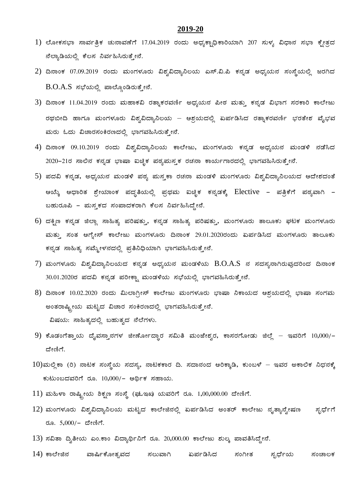- $1$ ) ಲೋಕಸಭಾ ಸಾರ್ವತ್ರಿಕ ಚುನಾವಣೆಗೆ 17.04.2019 ರಂದು ಅಧ್ಯಕ್ಪಾಧಿಕಾರಿಯಾಗಿ 207 ಸುಳ್ಯ ವಿಧಾನ ಸಭಾ ಕ್ಷೇತ್ರದ ಹೆಲ್ಯಾಡಿಯಲ್ಲಿ ಕೆಲಸ ನಿರ್ವಹಿಸಿರುತ್ತೇನೆ.
- 2) ದಿನಾಂಕ 07.09.2019 ರಂದು ಮಂಗಳೂರು ವಿಶ್ವವಿದ್ಯಾನಿಲಯ ಎಸ್.ವಿ.ಪಿ ಕನ್ನಡ ಅಧ್ಯಯನ ಸಂಸ್ಥೆಯಲ್ಲಿ ಜರಗಿದ  $B.O.A.S$  ಸಭೆಯಲ್ಲಿ ಪಾಲ್ಗೊಂಡಿರುತ್ತೇನೆ.
- 3) ದಿನಾಂಕ 11.04.2019 ರಂದು ಮಹಾಕವಿ ರತ್ನಾಕರವರ್ಣಿ ಅಧ್ಯಯನ ಪೀಠ ಮತ್ತು ಕನ್ನಡ ವಿಭಾಗ ಸರಕಾರಿ ಕಾಲೇಜು ರಥಬೀದಿ ಹಾಗೂ ಮಂಗಳೂರು ವಿಶ್ವವಿದ್ಯಾನಿಲಯ – ಆಶ್ರಯದಲ್ಲಿ ಏರ್ಪಡಿಸಿದ ರತ್ನಾಕರವರ್ಣಿ ಭರತೇಶ ವೈಭವ ಮರು ಓದು ವಿಚಾರಸಂಕಿರಣದಲ್ಲಿ ಭಾಗವಹಿಸಿರುತ್ತೇನೆ.
- 4) ದಿನಾಂಕ 09.10.2019 ರಂದು ವಿಶ್ವವಿದ್ಯಾನಿಲಯ ಕಾಲೇಜು, ಮಂಗಳೂರು ಕನ್ನಡ ಅಧ್ಯಯನ ಮಂಡಳಿ ನಡೆಸಿದ 2020-21ರ ಸಾಲಿನ ಕನ್ನಡ ಭಾಷಾ ಐಚ್ಪಿಕ ಪಠ್ಯಮಸ್ತಕ ರಚನಾ ಕಾರ್ಯಗಾರದಲ್ಲಿ ಭಾಗವಹಿಸಿರುತ್ತೇನೆ.
- 5) ಪದವಿ ಕನ್ನಡ, ಅಧ್ಯಯನ ಮಂಡಳಿ ಪಠ್ಯ ಮಸ್ತಕಾ ರಚನಾ ಮಂಡಳಿ ಮಂಗಳೂರು ವಿಶ್ವವಿದ್ಯಾನಿಲಯದ ಆದೇಶದಂತೆ ಆಯ್ಕೆ ಆಧಾರಿತ ಶ್ರೇಯಾಂಕ ಪದ್ಧತಿಯಲ್ಲಿ ಪ್ರಥಮ ಐಚ್ಛಿಕ ಕನ್ನಡಕ್ಕೆ Elective - ಪತ್ರಿಕೆಗೆ ಪಠ್ಯವಾಗಿ aಹುರೂಪಿ - ಮಸ್ಕಕದ ಸಂಪಾದಕರಾಗಿ ಕೆಲಸ ನಿರ್ವಹಿಸಿದ್ದೇನೆ.
- 6) ದಕ್ಷಿಣ ಕನ್ನಡ ಜಿಲ್ಲಾ ಸಾಹಿತ್ಯ ಪರಿಷತ್ತು, ಕನ್ನಡ ಸಾಹಿತ್ಯ ಪರಿಷತ್ತು, ಮಂಗಳೂರು ತಾಲೂಕು ಘಟಕ ಮಂಗಳೂರು ಮತ್ತು ಸಂತ ಆಗ್ನೇಸ್ ಕಾಲೇಜು ಮಂಗಳೂರು ದಿನಾಂಕ 29.01.2020ರಂದು ಏರ್ಪಡಿಸಿದ ಮಂಗಳೂರು ತಾಲೂಕು ಕನ್ನಡ ಸಾಹಿತ್ಯ ಸಮ್ಮೇಳನದಲ್ಲಿ ಪ್ರತಿನಿಧಿಯಾಗಿ ಭಾಗವಹಿಸಿರುತ್ತೇನೆ.
- $7$ ) ಮಂಗಳೂರು ವಿಶ್ವವಿದ್ಯಾನಿಲಯದ ಕನ್ನಡ ಅಧ್ಯಯನ ಮಂಡಳಿಯ  $\hbox{B.O.A.S}$  ನ ಸದಸ್ಯನಾಗಿರುವುದರಿಂದ ದಿನಾಂಕ 30.01.2020ರ ಪದವಿ ಕನ್ನಡ ಪರೀಕ್ಷಾ ಮಂಡಳಿಯ ಸಭೆಯಲ್ಲಿ ಭಾಗವಹಿಸಿರುತ್ತೇನೆ.
- $8$ ) ದಿನಾಂಕ 10.02.2020 ರಂದು ಮಿಲಾಗ್ರೀಸ್ ಕಾಲೇಜು ಮಂಗಳೂರು ಭಾಷಾ ನಿಕಾಯದ ಆಶ್ರಯದಲ್ಲಿ ಭಾಷಾ ಸಂಗಮ ಅಂತರಾಷ್ಟ್ರೀಯ ಮಟ್ಟದ ವಿಚಾರ ಸಂಕಿರಣದಲ್ಲಿ ಭಾಗವಹಿಸಿರುತ್ತೇನೆ. ವಿಷಯ: ಸಾಹಿತ್ಯದಲ್ಲಿ ಬಹುತ್ವದ ನೆಲೆಗಳು.
- 9) ಕೊಡಂಗೆತ್ತಾಯ ದೈವಸ್ತಾನಗಳ ಜೀರ್ಣೋದ್ಧಾರ ಸಮಿತಿ ಮಂಜೇಶ್ವರ, ಕಾಸರಗೋಡು ಜಿಲ್ಲೆ ಇವರಿಗೆ 10,000/-ದೇಣಿಗೆ.
- $10$ )ಮಲ್ಲಿಕಾ (ರಿ) ನಾಟಕ ಸಂಸ್ಥೆಯ ಸದಸ್ಯ, ನಾಟಕಕಾರ ದಿ. ಸದಾನಂದ ಆರಿಕ್ಕಾಡಿ, ಕುಂಬಳೆ ಇವರ ಅಕಾಲಿಕ ನಿಧನಕ್ಕೆ ಕುಟುಂಬದವರಿಗೆ ರೂ.  $10,000/-$  ಆರ್ಥಿಕ ಸಹಾಯ.
- $11)$  ಮಹಿಳಾ ರಾಷ್ಟ್ರೀಯ ಶಿಕ್ಷಣ ಸಂಸ್ಥೆ (ಘುಇಖ) ಯವರಿಗೆ ರೂ. 1,00,000.00 ದೇಣಿಗೆ.
- $12$ ) ಮಂಗಳೂರು ವಿಶ್ವವಿದ್ಯಾನಿಲಯ ಮಟ್ಟದ ಕಾಲೇಜಿನಲ್ಲಿ ಏರ್ಪಡಿಸಿದ ಅಂತರ್ ಕಾಲೇಜು ನೃತ್ಯಾನ್ವೇಷಣ ಸ್ಫರ್ಧೆಗೆ ರೂ.  $5,000/-$  ದೇಣಿಗೆ.
- $13$ ) ಸವಿತಾ ದ್ವಿತೀಯ ಎಂ.ಕಾಂ ವಿದ್ಯಾರ್ಥಿನಿಗೆ ರೂ. 20,000.00 ಕಾಲೇಜು ಶುಲ್ಕ ಪಾವತಿಸಿದ್ದೇನೆ.
- $14$ ) ಕಾಲೇಜಿನ ವಾರ್ಷಿಕೋತ್ಸವದ ಸಲುವಾಗಿ ಏರ್ಪಡಿಸಿದ ಸಂಗೀತ ಸ್ಪರ್ಧೆಯ ಸಂಚಾಲಕ